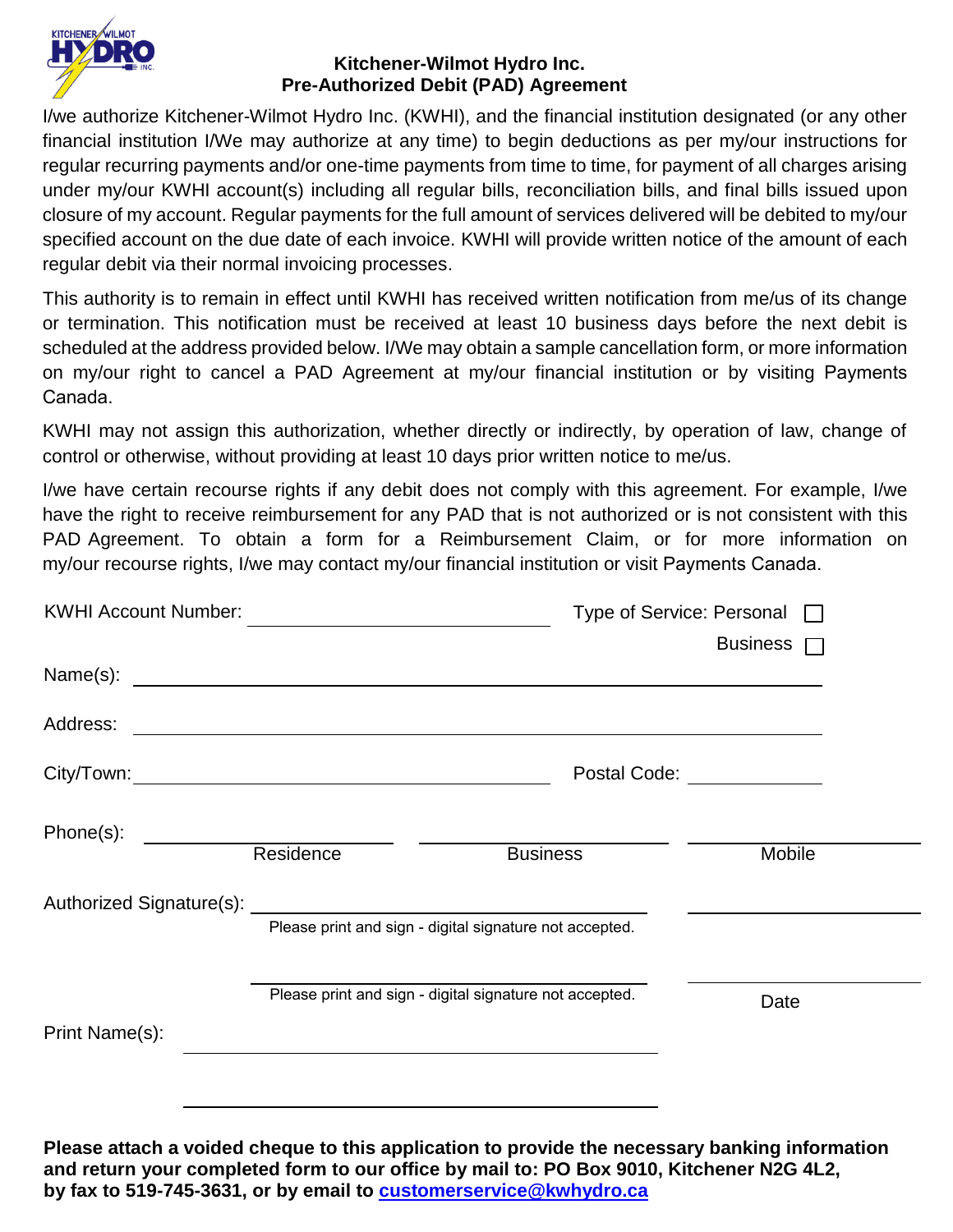

## **Kitchener-Wilmot Hydro Inc. Pre-Authorized Debit (PAD) Agreement**

**<sup>2</sup>** I/we authorize Kitchener-Wilmot Hydro Inc. (KWHI), and the financial institution designated (or any other financial institution I/We may authorize at any time) to begin deductions as per my/our instructions for regular recurring payments and/or one-time payments from time to time, for payment of all charges arising under my/our KWHI account(s) including all regular bills, reconciliation bills, and final bills issued upon closure of my account. Regular payments for the full amount of services delivered will be debited to my/our specified account on the due date of each invoice. KWHI will provide written notice of the amount of each regular debit via their normal invoicing processes.

This authority is to remain in effect until KWHI has received written notification from me/us of its change or termination. This notification must be received at least 10 business days before the next debit is scheduled at the address provided below. I/We may obtain a sample cancellation form, or more information on my/our right to cancel a PAD Agreement at my/our financial institution or by visiting Payments Canada.

KWHI may not assign this authorization, whether directly or indirectly, by operation of law, change of control or otherwise, without providing at least 10 days prior written notice to me/us.

I/we have certain recourse rights if any debit does not comply with this agreement. For example, I/we have the right to receive reimbursement for any PAD that is not authorized or is not consistent with this PAD Agreement. To obtain a form for a Reimbursement Claim, or for more information on my/our recourse rights, I/we may contact my/our financial institution or visit Payments Canada.

| <b>KWHI Account Number:</b>                                                                                                                                                                                                    |           | Type of Service: Personal □                                                                                           |                             |
|--------------------------------------------------------------------------------------------------------------------------------------------------------------------------------------------------------------------------------|-----------|-----------------------------------------------------------------------------------------------------------------------|-----------------------------|
|                                                                                                                                                                                                                                |           |                                                                                                                       | Business $\Box$             |
|                                                                                                                                                                                                                                |           |                                                                                                                       |                             |
| Address:                                                                                                                                                                                                                       |           | <u> 1999 - Johann Harry Harry Harry Harry Harry Harry Harry Harry Harry Harry Harry Harry Harry Harry Harry Harry</u> |                             |
|                                                                                                                                                                                                                                |           |                                                                                                                       | Postal Code: ______________ |
| Phone(s):                                                                                                                                                                                                                      | Residence | <b>Business</b>                                                                                                       | Mobile                      |
| Authorized Signature(s): Authorized Signature Communications and the control of the control of the control of the control of the control of the control of the control of the control of the control of the control of the con |           |                                                                                                                       |                             |
|                                                                                                                                                                                                                                |           | Please print and sign - digital signature not accepted.                                                               |                             |
|                                                                                                                                                                                                                                |           | Please print and sign - digital signature not accepted.                                                               |                             |
| Print Name(s):                                                                                                                                                                                                                 |           |                                                                                                                       | Date                        |
|                                                                                                                                                                                                                                |           |                                                                                                                       |                             |
|                                                                                                                                                                                                                                |           |                                                                                                                       |                             |

**Please attach a voided cheque to this application to provide the necessary banking information and return your completed form to our office by mail to: PO Box 9010, Kitchener N2G 4L2, by fax to 519-745-3631, or by email to [customerservice@kwhydro.ca](mailto:customerservice@kwhydro.ca)**